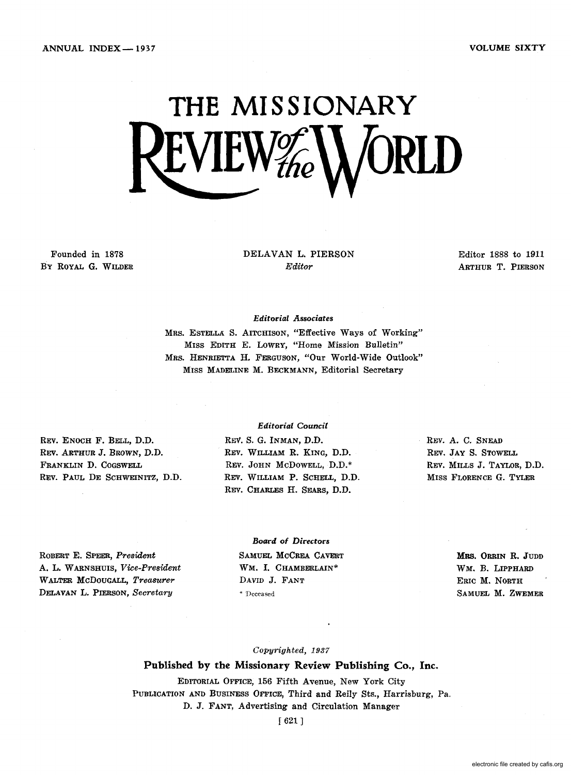VOLUME SIXTY

# **THE MISSIONARY**  EVIEW#

Founded in 1878 By ROYAL G. WILDER DELAVAN L. PIERSON *Editor* 

Editor 1888 to 1911 ARTHUR T. PIERSON

#### *Editorial A.ssociates*

MRS. ESTELLA. S. AITCHISON, "Effective Ways of Working" MISS EDITH E. LOWRY, "Home Mission Bulletin" MRS. HENRIETTA H. FERGUSON, "Our World-Wide Outlook" MISS MADELINE M. BECKMANN, Editorial Secretary

REV. ENOCH F. BELL, D.D. REV. ARTHUR J. BROWN, D.D. FRANKLIN D. COGSWELL REV. PAUL DE SCHWEINITZ, D.D.

#### *Editorial Council*

REV. S. G. INMAN, D.D. REV. WILLIAM R. KING, D.D. REV. JOHN McDOWELL, D.D.\* REV. WILLIAM P. SCHELL, D.D. REV. CHARLES H. SEARS, D.D.

REV. A. C. SNEAD REV. JAY S. STOWELL REV. MILLS J. TAYLOR, D.D. MISS FLORENCE G. TYLER

ROBERT E. SPEER, *President*  A. L. W ARNSHUIS, *Vice-President*  WALTER McDOUGALL, *Treasurer*  DELAVAN L. PIERSON, *Secretary* 

*Board of* Directors SAMUEL MCCREA CAVERT WM. I. CHAMBERLAIN\* DAVID J. FANT \* 'Deceased

MRS. ORRIN R. JUDD WM. B. LIPPHARD ERIC M. NORTH SAMUEL M. ZWEMER

#### *Copyrighted, 1937*

#### Published by the Missionary Review Publishing Co., Inc.

EDITORIAL OFFICE, 156 Fifth Avenue, New York City PUBLICATION AND BUSINESS OFFICE, Third and Reily Sts., Harrisburg, Pa. D. J. FANT, Advertising and Circulation Manager

[ 621 J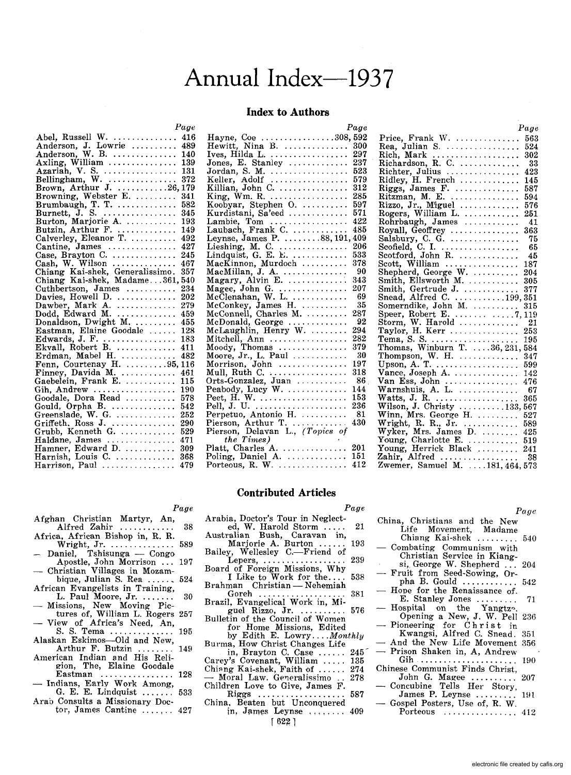## Annual Index--1937

#### **Index to Authors**

|                                                                                          | Page |
|------------------------------------------------------------------------------------------|------|
| Abel, Russell W.<br>Anderson, J. Lowrie                                                  | 416  |
|                                                                                          | 489  |
| Anderson, W. B. $\dots \dots \dots$                                                      | 140  |
| Axling, William $\ldots \ldots \ldots \ldots$                                            | 139  |
|                                                                                          |      |
|                                                                                          |      |
|                                                                                          |      |
| Browning, Webster E.                                                                     | 341  |
| Brumbaugh, T. T.                                                                         | 582  |
|                                                                                          | 345  |
| Burton, Marjorie A.                                                                      | 193  |
|                                                                                          | 149  |
| Butzin, Arthur F.<br>Calverley, Eleanor T.                                               | 492  |
|                                                                                          | 427  |
| Cantine, James<br>Case, Brayton C.<br>Cash, W. Wilson<br>Chiang Kai-shek, Generalissimo. | 245  |
|                                                                                          | 467  |
|                                                                                          | 357  |
| Chiang Kai-shek, Madame361,                                                              | 540  |
| Cuthbertson, James                                                                       | 234  |
|                                                                                          | 202  |
| Davies, Howell D.<br>Dawber, Mark A.                                                     | 279  |
| Dodd, Edward M.                                                                          | 459  |
| Donaldson, Dwight M.<br>Eastman, Elaine Goodale                                          | 455  |
|                                                                                          | 128  |
| Edwards, J. F.                                                                           | 183  |
|                                                                                          | 411  |
| Erdman, Mabel H.                                                                         | 482  |
| Fenn, Courtenay H. 95, 116                                                               |      |
| Finney, Davida M.                                                                        | 461  |
| Gaebelein, Frank E.                                                                      | 115  |
| Gih, Andrew<br>Goodale, Dora Read                                                        | 190  |
|                                                                                          | 578  |
|                                                                                          | 542  |
|                                                                                          | 252  |
| Gould, Orpha B.<br>Greenslade, W. G.<br>Griffeth, Ross J.                                | 290  |
| Grubb, Kenneth G.                                                                        | 529  |
| Haldane, James                                                                           | 471  |
| Hamner, Edward D.                                                                        | 309  |
| Harnish, Louis C.                                                                        | 368  |
| Harrison, Paul                                                                           | 479  |
|                                                                                          |      |

|                                                                         | Page |
|-------------------------------------------------------------------------|------|
|                                                                         |      |
|                                                                         |      |
|                                                                         |      |
| Jones, E. Stanley                                                       | 237  |
| Jordan, S. M.                                                           | 523  |
| Keller, Adolf                                                           | 579  |
|                                                                         | 312  |
|                                                                         | 285  |
| Koobyar, Stephen O.                                                     | 597  |
|                                                                         | 571  |
| Kurdistani, Sa'eed                                                      |      |
|                                                                         |      |
|                                                                         |      |
|                                                                         |      |
|                                                                         |      |
|                                                                         |      |
| MacKinnon, Murdoch                                                      | 378  |
|                                                                         | 90   |
|                                                                         | 343  |
| MacMillan, J. A.<br>Magary, Alvin E.<br>Magee, John G.                  | 207  |
|                                                                         | 69   |
| McClenahan, W. L.<br>McConkey, James H.                                 | 35   |
| McConnell, Charles M.                                                   | 287  |
| McDonald, George                                                        | 92   |
| McLaughlin, Henry W.<br>Mitchell, Ann                                   | 294  |
|                                                                         | 282  |
| Moody, Thomas<br>Moore, Jr., L. Paul<br>Morrison, John<br>Mull, Ruth C. | 379  |
|                                                                         | 30   |
|                                                                         | 197  |
|                                                                         | 318  |
| Orts-Gonzalez, Juan                                                     | 86   |
| Peabody, Lucy W.                                                        | 144  |
| Peet, H. W.                                                             | 153  |
|                                                                         | 236  |
| Pell, J. U.<br>Perpetuo, Antonio H.                                     | 81   |
|                                                                         | 430  |
| Pierson, Arthur T.<br>Pierson, Delavan L., (Topics of                   |      |
| the Times)                                                              |      |
| the Times)<br>Platt, Charles A.  201<br>Poling, Daniel A.  151          |      |
|                                                                         |      |
| Porteous, R. W. $\dots \dots \dots \dots$                               | 412  |
|                                                                         |      |

|                                                                                                    | Page |
|----------------------------------------------------------------------------------------------------|------|
| Price, Frank W.                                                                                    | 563  |
| Rea, Julian S.                                                                                     | 524  |
|                                                                                                    | 302  |
|                                                                                                    | -33  |
|                                                                                                    | 423  |
| Richter, Julius<br>Ridley, H. French                                                               | 145  |
| Riggs, James F.                                                                                    | 587  |
|                                                                                                    | 594  |
|                                                                                                    | 576  |
| Ritzman, M. E.<br>Rizzo, Jr., Miguel<br>Rogers, William L.<br>Rohrhaugh, James<br>Royall, Geoffrey | 251  |
|                                                                                                    | 41   |
|                                                                                                    | 363  |
| Salsbury, C. G. $\dots \dots \dots \dots$                                                          | - 75 |
| Scofield, C. I.<br>Scotford, John R.                                                               | - 65 |
|                                                                                                    | 45   |
| Scott, William<br>Shepherd, George W.                                                              | 187  |
|                                                                                                    | 204  |
| Smith, Ellsworth M.                                                                                | 305  |
| Smith, Gertrude J.  377<br>Snead, Alfred C. 199, 351                                               |      |
|                                                                                                    |      |
| Somerndike, John M.                                                                                | 315  |
|                                                                                                    |      |
|                                                                                                    |      |
| Taylor, H. Kerr                                                                                    | 253  |
|                                                                                                    |      |
|                                                                                                    |      |
|                                                                                                    |      |
|                                                                                                    | 599  |
|                                                                                                    | 142  |
| Van Ess, John<br>Warnshuis, A. L.                                                                  | 476  |
|                                                                                                    | - 67 |
| Watts, J. R.                                                                                       | 365  |
| Wilson, J. Christy  133, 567                                                                       |      |
| Winn, Mrs. George H.                                                                               | 527  |
|                                                                                                    | 589  |
| Wright, R. R., Jr.<br>Wyker, Mrs. James D.                                                         | 425  |
| Young, Charlotte E.                                                                                | 519  |
| Young, Herrick Black                                                                               | 241  |
| Zahir, Alfred  38<br>Zwemer, Samuel M. 181,464,573                                                 |      |
|                                                                                                    |      |

#### **Contributed Articles**

#### Afghan Christian Martyr, An, Alfred Zahir ............ 38

- Africa, African Bishop in, R. R.
- Wright, Jr ............... 589 - Daniel, Tshisunga - Congo Apostle, John Morrison ... 197
- Christian Villages in Mozambique, Julian S. Rea  $\ldots$ , 524
- African Evangelists in Training, L. Paul Moore, Jr. ....... 30
- Missions, New Moving Pictures of, William L. Rogers 257
- View of Africa's Need, An,
- S. S. Tema .............. 195 Alaskan Eskimos-Old and New, Arthur F. Butzin ........ 149
- American Indian and His Religion, The, Elaine Goodale
- Eastman ................ 128 - Indians, Early Work Among, G. E. E. Lindquist ....... 533
- Arab Consults a Missionary Doc-
- tor, James Cantine  $\ldots$ , 427

| Arabia, Doctor's Tour in Neglect- |                             |    |
|-----------------------------------|-----------------------------|----|
|                                   | ed, W. Harold Storm $\dots$ | 21 |
| Australian Bush, Caravan in,      |                             |    |

*Page* 

- Australian Bush, Caravan in, Marjorie A. Burton ...... 193 Bailey, Wellesley C.-Friend of
- Lepers, ..................... 239 Board of Foreign Missions, Why I Like to Work for the. . .. 538
- I Like to Work for the.... 538<br>Brahman Christian Nehemiah<br>Goreh ....................... 381 Goreh ................... 381 Brazil, Evangelical Work in, Mi-
- Brazil, Evangelical Work in, Mi-<br>guel Rizzo, Jr. ........... 576<br>Bulletin of the Council of Women
- 
- for Home Missions, Edited by Edith E. Lowry ... *. Monthly*  Burma, How Christ Changes Life

in, Brayton C. Case ...... 245 Carey's Covenant, William ..... 135 Chi'mg Kai-shek, Faith of ..... , 274 - Moral Law. Gp'lprali'lsimo .. 278 Children Love to Give, James F. Riggs ................... 587

Riggs ...................<br>China, Beaten but Unconquered in, James Leynse ........ 409  $[622]$ 

| China, Christians and the New       |
|-------------------------------------|
| Life Movement, Madame               |
| Chiang Kai-shek  540                |
| — Combating Communism with          |
|                                     |
| Christian Service in Kiang-         |
| si, George W. Shepherd $\ldots$ 204 |
| - Fruit from Seed-Sowing, Or-       |
| pha B. Gould  542                   |
| - Hope for the Renaissance of.      |
| E. Stanley Jones<br>71              |
| $-$ Hospital on the Yangtz.         |
| Opening a New, J. W. Pell 236       |
| — Pioneering for Christ in          |
|                                     |
| Kwangsi, Alfred C. Snead. 351       |
| - And the New Life Movement 356     |
| - Prison Shaken in, A, Andrew       |
|                                     |
| Chinese Communist Finds Christ,     |
| John G. Magee  207                  |
| - Concubine Tells Her Story,        |
| James P. Leynse  191                |
|                                     |
| - Gospel Posters, Use of, R. W.     |
| Porteous  412                       |

*Page* 

#### *Page*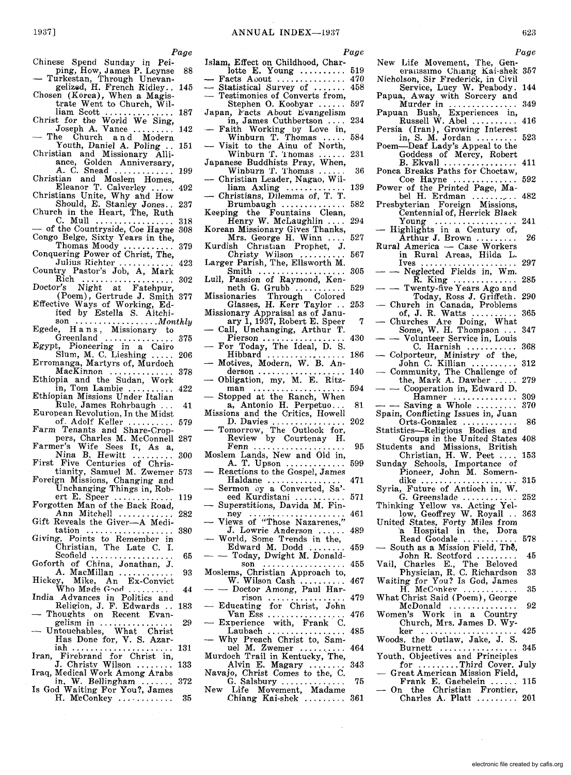*Page* 

- Chinese Spend Sunday in Pei-
- ping, How, James P. Leynse 88<br>-- Turkestan, Through Unevan-<br>gelized, H. French Ridley.. 145 Chosen (Korea), When a Magis-
- trate Went to Church, Wil-<br>liam Scott .............. 187
- liam Scott ............... 187 Christ for the World We Sing, Joseph A. Vance ......... 142 The Church and Modern
- The Church and Modern<br>Youth, Daniel A. Poling .. 151
- Christian and Missionary Alli
	- ance, Golden Anniversary, A. C. Snead ............. 199
- Christian and Moslem Homes,<br>Eleanor T. Calverley ..... 492 Eleanor T. Calverley .
- Christians Unite, Why ahd How Should, E. Stanley Jones.. 237
- Church in the Heart, The, Ruth<br>C. Mull ................. C. Mull ....................... 318<br>of the Countryside, Coe Hayne 308
- Congo BeIge, Sixty Years in the,
- Thomas Moody ........... 379 Conquering Power of Christ, The,
- Julius Richter ............ 423 Country Pastor's Job, A, Mark
- Rich .................... 302 Doctor's Night at Fatehpur,
- (Poem), Gertrude J. Smith 377 Effective Ways of Working, Ed-<br>ited by Estella S. Aitchi-
- ited by Estella S. Aitchi- son .................. *Monthly*  Egede, Han s, Missionary to
- Greenland ............... 375
- Egypt, Pioneering in a Cairo Slum, M. C. Lieshing ..... 206 Erromanga, Martyrs of, Murdoch MacKinnon .............. 378
- Ethiopia and the Sudan, Work in, Tom Lambie .......... 422
- Ethiopian Missions Under Italian
- Rule, James Rohrbaugh... 41 European Revolution, In the Midst
- of. Adolf Keller ..... Farm Tenants and Share-Crop-
- pers, Charles M. McConnell 287 Farmer's Wife Sees It, As a, Nina B. Hewitt .............. 300
- First Five Centuries of Chris-
- tianity, Samuel M. Zwemer 573 Foreign Missions, Changing and
- Unchanging Things in, Rob-ert E. Speer ............. 119 Forgotten Man of the Back Road, Ann Mitchell ............ 282
- Gift Reveals the Giver-A Meditation ................... 380
- Giving, Points to Remember in Christian, The Late C. I. Scofield ............................ 65
- Goforth of China, Jonathan, J. A. MacMillan ............ 93
- Mike, An Ex-Convict Hickey, Mike, An Ex-Courses<br>Who Made Good<br>Belitias and
- India Advances in Politics and Religion, J. F. Edwards .. 183
- Thoughts on Recent EvangelIsm III ................ <sup>29</sup> Untouchables, What Christ
- Has Done for, V. S. Azar-iah ...................... 131
- Iran, Firebrand for Christ in, J. Christy Wilson ........ 133
- Iraq, Medical Work Among Arabs in, W. Bellingham ....... 372 Is God Waiting For You?, James
- H. McConkey .............. 35
- 
- Islam, Effect on Childhood, Char-<br>lotte E. Young .......... 519
- 
- 
- lotte E. Young .......... 519 Facts Auout ............... 470 Statistical Survey of ....... 458 Testimonies of Converts from,
- Stephen O. Koobyar ....
- Japan, Facts About Evangelism<br>in, James Cuthbertson .... 234
- Faith Working by Love in,<br>Winburn T. Thomas ..... 584 Winburn T. Thomas ..... 584<br>- Visit to the Ainu of North,
- Winburn T. 'l'homas ...... 231 Japanese Buddhists Pray, When,
- Winburn T. Thomas ...... 36 Christian Leader, Nagao, Wil-
- liam Axling ............. 139
- Christians, Dilemma of, T. T.<br>Brumbaugh ................ 582 Brumbaugh .............. 582 Keeping the Fountains Clean, Henry W. McLaughlin .... 294
- Korean Missionary Gives Thanks,
- Mrs. George H. Winn .... 527
- Kurdish ChristIan Prophet, J. Christy Wilson .......... 567 Larger Parish, The, Ellsworth M.<br>
Smith ............................ 305
- Lull, Passion of Raymond, Ken-
- neth G. Grubb ................ 529<br>Missionaries Through Colored Missionaries Through Colored Glasses, H. Kerr Taylor .. 253
- Missionary Appraisal as of Janu-<br>ary 1, 1937, Robert E. Speer 7
- Call, Unchanging, Arthur T.<br>Pierson .......................... 430
- For Today, The Ideal, D. S.
- $-$  Full Foury, The Tuest, D. S.<br>Hibbard .................... 186<br> $-$  Motives, Modern, W. B. Anbetwee,  $M_0$  and  $M_1$ , w. b. And  $M_2$
- Obligation, my, M. E. Ritz- man .................... 594
- Stopped at the Ranch, When
- a, Antonio H. Perpetuo... 81 Missions and the Critics, Howell
- D. Davies ................ 202 Tomorrow, The Outlook for,
- Review by Courtenay H. Fenn .................... 95 Moslem Lands, New and Old in,
- A. T. Upson ............. Reactions to the Gospel, James<br>
Haldane ...................... 471
- Haldane ................<br>Sermon by a Converted, Sa'-
- eed Kurdistani ........... 571 Superstitions, Davida M. Fin-
- ney ............................ 461<br>- Views of "Those Nazarenes,"<br>J. Lowrie Anderson ...... 489
- World, Some Trends in the,<br>Edward M. Dodd......... 459
- 
- Edward M. Dodd ........ 459 - Today, Dwight M. Donald- son .................. 455 Moslems, Christian Approach to, W. Wilson Cash .......... 467 - Doctor Among, Paul Har-
- Doctor Among, Paul Har-<br>rison ................ 479
- Educating for Christ, John<br>Wan Ess ........................ 476
- Experience with, Frank C.<br>Laubach ................... 485
- Why Preach Christ to, Samuel M. Zwemer .......... 464
- Murdoch Trail in Kentucky, The,
- Alvin E. Magary ........ 343 Navajo, Christ Comes to the, C.<br>
G. Salsbury .................. 75
- New Life Movement, Madame Chiang Kai-shek ......... 361
- *Page*
- New Life Movement, The, Generanssimo Chiang Kai-shek 357
- Nicholson, Sir Frederick, in Civil Service, Lucy W. Peabody. 144

623 *Page* 

- Papua, Away with Sorcery and
- Murder in ............... 349 Papuan Bush, Experiences in, Russell W. Abel .......... 416
- Persia (Iran), Growing Interest in, S. M. Jordan ......... 523 Poem-Deaf Lady's Appeal to the
- Goddess of Mercy, Robert B. Ekvall ................ 411
- Ponca Breaks Paths for Choctaw,
- Coe Hayne .............. 592 Power of the Printed Page, Ma-
- bel H. Erdman ........... 482 Presbyterian Foreign Missions,
- Centennial of, Herrick Black<br>Young .................... 241 - Highlights in a Century of,<br>Arthur J. Brown ............ 26
- Highlights in a Century of,<br>Arthur J. Brown ............. 26<br>Rural America Case Workers
- in Rural Areas, Hilda L. Ives ..................... 297
- Neglected Fields in, Wm. R. King .............. 285 - - Twenty-five Years Ago and
- Today, Ross J. Griffeth. 290
- Church in Canada, Problems<br>  $\alpha$ , J. R. Watts ............... 365
- Churches Are Doing, What<br>
Some, W. H. Thompson ... 347<br>
 Volunteer Service in, Louis
- 
- C. Harnish ........... 368 Colporteur, Ministry of the,
- John C. Killian .......... 312 Community, The Challenge 'Of Community, The Challenge of<br>the, Mark A. Dawber ..... 279<br>-- Cooperation in, Edward D.<br>Hamner ............... 309
- 

Students and Missions, British Christian, H. W. Peet .... 153 Sunday Schools, Importance of

Syria, Future of Antioch in, W.

Hamner .............. 309 - - Saving a Whole ......... 370 Spain, Conflicting Issues in, Juan Orts-Gonzalez ............ 86 Statistics-Religious Bodies and Groups in the United States 408

 $\text{Pioneer, John M. Somern-}\ \text{dike} \dots\dots\dots\dots\dots\dots\dots \dots \dots \dots \ 315$ 

G. Greenslade ............ 252 Thinking Yellow vs. Acting Yel-<br>low, Geoffrey W. Royall .. 363

H. McConkey ............... 35

Church, Mrs. James D. Wy-ker ..................... 425 Woods, the Outlaw, Jake, J. S. Burnett ................. 345 Youth. Objectives and Principles

for .........Third Cover. July Great American Mission Field,<br>Frank E. Gaebelein Frank E. Gaebelein ... On the Christian Frontier, Charles A. Platt ......... 201

What Christ Said (Poem), George McDonald ............... 92 Women's Work in a Country

United States, Forty Miles from<br>
a Hospital in the, Dora<br>
Read Goodale ............... 578<br>
- South as a Mission Field, The, South as a Mission Field, The,<br>John R. Scotford ............. 45 Vail, Charles E., The Beloved Physician, R. C. Richardson 33 Waiting for You? Is God, James

electronic file created by cafis.org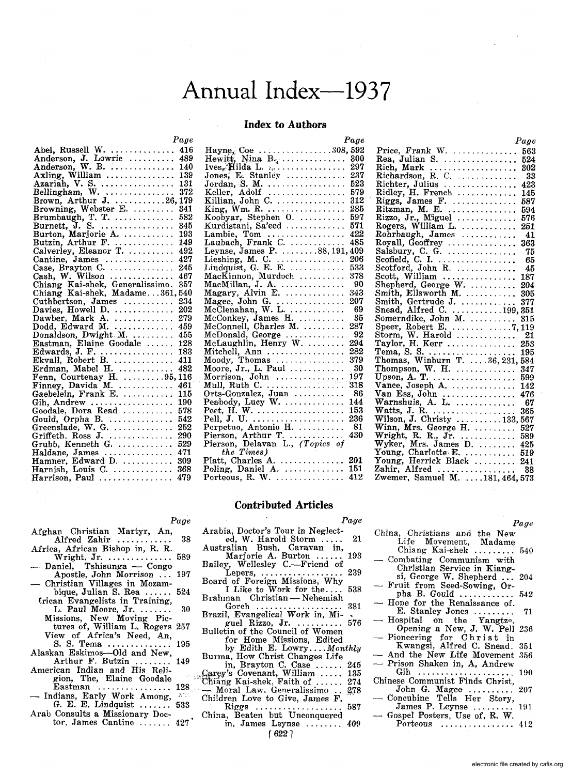## Annual Index-1937

#### **Index to Authors**

|                                                                                                                              | Page       |
|------------------------------------------------------------------------------------------------------------------------------|------------|
| Abel, Russell W.<br>Anderson, J. Lowrie                                                                                      | 416        |
|                                                                                                                              | 489        |
|                                                                                                                              | 140        |
| Axling, William                                                                                                              | 139        |
|                                                                                                                              |            |
|                                                                                                                              |            |
|                                                                                                                              |            |
|                                                                                                                              |            |
| Brumbaugh, T. T.                                                                                                             | 582        |
| Burnett, J. S.<br>Burton, Marjorie A.                                                                                        | 345        |
|                                                                                                                              | 193        |
| Butzin, Arthur F.                                                                                                            | 149        |
| Calverley, Eleanor T.                                                                                                        | 492        |
| Cantine, James<br>Case, Brayton C.                                                                                           | 427        |
|                                                                                                                              | 245        |
| Cash, W. Wilson $\dots \dots \dots$                                                                                          | 467        |
| Chiang Kai-shek, Generalissimo. 357<br>Chiang Kai-shek, Madame361, 540                                                       |            |
|                                                                                                                              |            |
| Cuthbertson, James                                                                                                           | 234        |
| Davies, Howell D.                                                                                                            | 202        |
| Dawber, Mark A.<br>Dodd, Edward M.                                                                                           | 279        |
|                                                                                                                              | 459        |
| Donaldson, Dwight M.                                                                                                         | 455        |
| Eastman, Elaine Goodale                                                                                                      | 128        |
|                                                                                                                              |            |
|                                                                                                                              |            |
| Edwards, J. F.<br>Ekvall, Robert B.<br>Erdman, Mabel H.<br>Erdman, Mabel H.<br>Finney, Davida M.<br>Finney, Davida M.<br>161 |            |
|                                                                                                                              |            |
|                                                                                                                              |            |
| Gaebelein, Frank E.                                                                                                          | 115        |
| Gih, Andrew<br>Goodale, Dora Read<br>Goodale, Dora Read<br>Greenslade, W. G.                                                 | 190        |
|                                                                                                                              | 578        |
|                                                                                                                              | 542<br>252 |
|                                                                                                                              | 290        |
| $Griffeth$ , Ross J.<br>$\operatorname{Grubb}_n$ . Kenneth $\operatorname{G}_n$ .                                            | 529        |
|                                                                                                                              |            |
| Haldane, James<br>Hamner, Edward D.  309<br>Harnish, Louis C.  368                                                           |            |
|                                                                                                                              |            |
| $Harrison, Paul \ldots \ldots \ldots \ldots$                                                                                 | 479        |
|                                                                                                                              |            |

|                                                              | Page |
|--------------------------------------------------------------|------|
|                                                              |      |
|                                                              |      |
|                                                              |      |
|                                                              |      |
| Jordan, S. M.                                                | 523  |
|                                                              | 579  |
| Keller, Adolf<br>Killian, John C.                            | 312  |
| King, Wm. R. $\dots \dots \dots \dots$                       | 285  |
| Koobyar, Stephen O.                                          | 597  |
| Kurdistani, Sa'eed                                           | 571  |
|                                                              |      |
|                                                              |      |
|                                                              |      |
|                                                              |      |
|                                                              |      |
|                                                              |      |
| MacKinnon, Murdoch                                           | 378  |
| MacMillan, J. A.<br>Magary, Alvin E.                         | -90  |
|                                                              | 343  |
| Magee, John G.<br>McClenahan, W. L.                          | 207  |
|                                                              | -69  |
| $\rm{McConkey},$ James $\rm{H.}\,\ldots\ldots\ldots$         | -35  |
| McConnell, Charles M.                                        | 287  |
| McDonald, George                                             | 92   |
|                                                              | 294  |
|                                                              | 282  |
| Moody, Thomas                                                | 379  |
| Moore, Jr., L. Paul<br>Morrison, John<br>Mull, Ruth C.       | 30   |
|                                                              | 197  |
|                                                              | 318  |
| Orts-Gonzalez, Juan                                          | - 86 |
| Peabody, Lucy W.                                             | 144  |
| Peet, $\overrightarrow{H}$ . W. $\cdots$                     | 153  |
|                                                              | 236  |
| Pell, J. U.<br>Perpetuo, Antoni <u>o</u> H.                  | -81  |
|                                                              | 430  |
| Pierson, Arthur T.<br>Pierson, Delavan L., <i>(Topics of</i> |      |
| the Times)                                                   |      |
|                                                              |      |
|                                                              |      |
| Porteous, R. W. $\dots\dots\dots\dots$                       | 412  |
|                                                              |      |

## Rich, Mark<br>
Rich, Mark<br>
Richardson, R. C.<br>
302<br>
Richardson, R. C.<br>
423<br>
Ridley, H. French<br>
145<br>
Riggs, James F.<br>
1587 Ritzman, M. E. Rogers, william L. (2011)<br>
Rohrbaugh, James<br>
Salsbury, C. G. (2016)<br>
Salsbury, C. G. (2016)<br>
Scofield, C. I. (2016)<br>
Scotted, John R. (2016)<br>
Scott, William (2027)<br>
287<br>
Scott, William (2027)<br>
287 204 305 Smith, Gertrude J. .............. 377<br>Snead, Alfred C. ............199, 351 Somerndike, John M. .......... 315 Speer, Robert E. . . . . . . . . . . . . . . . 7, 119<br>Storm, W. Harold . . . . . . . . . . . . . . 21 Taylor, H. Kerr ................ 253 Young, Charlotte E. .......... 519 Toung, Herrick Black<br>
Toung, Herrick Black<br>
Zahir, Alfred<br>
188 Zwemer, Samuel M. ... 181, 464, 573

#### **Contributed Articles**

#### Page

#### Page

Page

Afghan Christian Martyr, An, Alfred Zahir ........... 38

Page

- Africa, African Bishop in, R. R.<br>Wright, Jr. ................. 589
- Daniel, Tshisunga Congo Apostle, John Morrison ... 197<br>Christian Villages in Mozam-
- bique, Julian S. Rea......  $524$
- trican Evangelists in Training, L. Paul Moore, Jr. ....... 30 Missions, New Moving Pictures of, William L. Rogers 257
- View of Africa's Need, An,<br>S. S. Tema .............. -195
- Alaskan Eskimos-Old and New, Arthur F. Butzin ........ 149
- American Indian and His Religion, The, Elaine Goodale Eastman  $\ldots \ldots \ldots \ldots \ldots$  128
- Indians, Early Work Among,  $X^{\circ}$ <br>
G. E. E. Lindquist ....... 533
- Arab Consults a Missionary Doctor, James Cantine ...... 427

| Arabia, Doctor's Tour in Neglect- |    |
|-----------------------------------|----|
| ed. W. Harold Storm               | 21 |
| Avertualian Duah Comeyan in       |    |

- Australian Bush, Caravan in,<br>Marjorie A. Burton ...... 193
- Bailey, Wellesley C .- Friend of 239 Lepers,  $\dots\dots\dots\dots$
- Board of Foreign Missions, Why<br>I Like to Work for the.... 538
- Brahman Christian -- Nehemiah 381
	-
- 576 guel Rizzo, Jr.  $\ldots \ldots$ Bulletin of the Council of Women
- for Home Missions, Edited<br>by Edith E. Lowry....Monthly Burma, How Christ Changes Life
- in, Brayton C. Case ...... 245 135
- Garey's Covenant, William .....<br>Chiang Kai-shek, Faith of ...... 274 Moral Law, Generalissimo 278
	- Children Love to Give, James F. 587
	- in, James Leynse ........ 409

 $622$ ]

- China, Christians and the New<br>Life Movement, Madame Chiang Kai-shek ........ 540 - Combating Communism with Christian Service in Kiangsi, George W. Shepherd ... 204 - Fruit from Seed-Sowing, Orpha B. Gould  $\ldots$ ........ 542 Hope for the Renaissance of.
- E. Stanley Jones ........ 71 Hospital on the Yangtze,<br>Opening a New, J. W. Pell 236
- Pioneering for Christ in<br>Kwangsi, Alfred C. Snead.
- 351 And the New Life Movement 356
- Prison Shaken in, A, Andrew
- Gih ......... 190 Chinese Communist Finds Christ,
- John G. Magee  $\dots\dots\dots$ 207
- Concubine Tells Her Story, 191
- Gospel Posters, Use of, R. W. Porteous ................. 412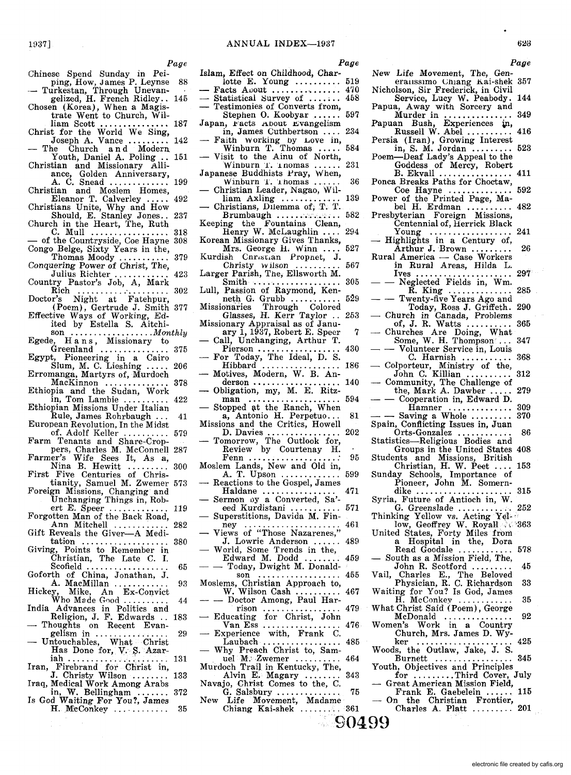*Page* 

Chinese Spend Sunday in Peiping, How, James P. Leynse 88<br>
- Turkestan, Through Unevan-

1937]

- gelized, H. French Ridley.. 145
- Chosen (Korea), When a Magis-trate Went to Church, Wil-
- liam Scott ............... 187 Christ for the World We Sing, Joseph A. Vance ......... 142 The Church and Modern
- Youth, Daniel A. Poling .. 151
- Christian and Missionary Alli-
- ance, Golden Anniversary,<br>
A. C. Snead .............. 199<br>
Christian and Moslem Homes,<br>
Eleanor T. Calverley ..... 492
- Christians Unite, Why and How Should, E. Stanley Jones .. 237
- Church in the Heart, The, Ruth
- C. Mull ..................... 318<br>of the Countryside, Coe Hayne 308 Congo BeIge, Sixty Years in the,
- Thomas Moody .............. 379 Conquering Power of Christ, The,
- Julius Richter ............ 423 Country Pastor's Job, A, Mark
- Example 19 Faster's Job, A, Mark<br>
Rich ............................. 302<br>
Doctor's Night at Fatehpur,
- (Poem), Gertrude J. Smith 377 Effective Ways of Working, Ed-
- ited by Estella S. Aitchi-<br>son .....................*.Monthly*
- Egede, Hans, Missionary to<br>Greenland ..................... 375
- Egypt, Pioneering in a Cairo Slum, M. C. Lieshing ..... 206
- Erromanga, Martyrs of, Murdoch MacKinnon .............. 378 Ethiopia and the Sudan, Work
- in, Tom Lambie .......... 422
- Ethiopian Missions Under Italian Rule, James Rohrbaugh. .. 41
- European Revolution, In the Midst of. Adolf Keller .......... 579 Farm Tenants and Share-Crop-
- pers, Charles M. McConnell 287 Farmer's Wife Sees It, As a,
- Farmer's whe bees it, As a,<br>Nina B. Hewitt ......... 300<br>First Five Centuries of Chris-
- tianity, Samuel M. Zwemer 573
- Foreign Missions, Changing' and Unchanging Things in, Rob-
- ert E. Speer ............. 119 Forgotten Man of the Back Road,
- Ann Mitchell ............ 282
- Gift Reveals the Giver-A Medi-tation ................... 380 Giving, Points to Remember in
- Christian, The Late C. I. Scofield .................. 65
- Scofield ..................<br>Goforth of China, Jonathan, J. A. MacMillan ............ 93
- Hickey, Mike, An Ex-Convict<br>Who Made Good ........... 44
- India Advances in Politics and Religion, J. F. Edwards .. 183
- Thoughts on Recent EvangelIsm In ................ 29 Untouchables, What Christ
- ~as Done for, V. ~.Azar-lah ...................... 131
- Iran, Firebrand for Christ in, J. Christy Wilson ........ 133
- Iraq, Medical Work Among Arabs in, W. Bellingham ....... 372 Is God Waiting For You?, James
- H. McConkey ... ......... 35
- *Page*
- 
- 
- Islam, Effect on Childhood, Char-<br>
lotte E. Young ............ 519<br>
 Facts Auout ................... 470<br>
 Statistical Survey of .......... 458<br>
 Testimonies of Converts from,
- Testimonies of Converts from,<br>Stephen O. Koobyar ...... 597
- Japan, racts About Evangelism
- in, James Cuthbertson .... 234
- Faith working by Love in, Winburn T. Thomas ..... 584 Visit to the Ainu of North,
- Winburn T. Thomas ...... 231 Japanese Buddhists Pray, When,
- anese Buddinsts 1 ray, when,<br>Winburn T. Thomas ...... 36<br>Christian Leader, Nagao, Wil-
- liam Axling .............. 139 Christians, Dilemma of,  $T$ . T.<br>Brumbaugh
- $Brumbaugh$  ............ Keeping the Fountains Clean, Henry W. McLaughlin .... 294
- Korean Missionary Gives Thanks, Mrs. George H. Winn .... 527
- Kurdish Cnristian Propnet, J.<br>Christy wilson .......... 567
- Christy  $W$  ilson  $\ldots$ ... Larger Parish, The, Ellsworth M.
- Smith ................... 305 Lull, Passion of Raymond, Ken-
- neth G. Grubb ........... 529 Missiomiries Through Colored Glasses, H. Kerr Taylor .. 253
- Missionary Appraisal as of Janu-<br>ary 1, 1937, Robert E. Speer
- ary 1, 1937, Robert E. Speer 7 Call, Unchanging, Arthur T.
- Pierson .................. 430 For Today, The Ideal, D. S.
- $\frac{1}{2}$  Motives, Modern, W. B. An-<br>derson .................. 140
- 
- derson ................... 140 Obligation, my, M. E. Ritz- man .................... 594 Stopped \it the Ranch, When a, Antonio H. Perpetuo...
- Missions and the Critics, Howell
- missions and the Critics, Howen<br>D. Davies ................. 202<br>— Tomorrow, The Outlook for, Review by Courtenay H.
- Fenn ................... : 95 Moslem Lands, New and Old in,<br>A. T. Upson ............... 599
- Reactions to the Gospel, James<br>Haldane ................ 471
- Haldane ................ 471 Sermon oy a Converted, Sa' eed Kurdistani ............. 571
- Superstitions, Davida M. Fin-
- ney .......................... 461<br>Views of "Those Nazarenes,"<br>J. Lowrie Anderson ...... 489 Solution 1988 - Wews of Those Nazarenes,<br>J. Lowrie Anderson ...... 489<br>- World, Some Trends in the,
- 
- world, Some Trends in the,<br>
Edward M. Dodd .................459<br>
 Today, Dwight M. Donald-<br>
son ...........................455<br>
Moslems, Christian Approach to, . . . . . . . . . . . . . . . 455
- Moslems, Christian Approach to,<br>W. Wilson Cash ..........<br>- Doctor Among, Paul Har-467
- rison ................<br>- Educating for Christ, John<br>Van Ess .................. 479
- 476
- Van Ess ................ . Experience with, Frank C.  $\ldots$  485
- Why Preach Christ to, Samwhy Freach Unitst to, Sam-<br>uel M: Zwemer ..........<br>Murdoch Trail in Kentucky, The, uel M. Zwemer .......... 464
- Murdoch Trail in Kentucky, The,<br>Alvin E. Magary ........<br>Navajo, Christ Comes to the, C. 343
- Navajo, Christ Comes to the, C.<br>G. Salsbury ...............<br>New Life Movement, Madame 75
- Life Movement, Madame<br>Chiang Kai-shek .......... 361

**90499** 

*Page*  New Life Movement, The, Generanssimo Chiang Kai-shek 357

623

- Nicholson, Sir Frederick, in Civil Service, Lucy W. Peabody. 144<br>Papua, Away with Sorcery and
- Murder in ............... 349 Papuan Bush, Experiences ~, Russell W. Abel ...... " .. 416
- Persia (Iran), Growing Interest in, S. M. Jordan ......... 523
- Poem-Deaf Lady's Appeal to the
	- Goddess of Mercy, Robert B. Ekvall ................ 411
- Ponca Breaks Paths for Choctaw, Coe Hayne .............. 592
- Power of the Printed Page, Ma-
- nower of the Frince Fage, ma-<br>bel H. Erdman ........... 482<br>Presbyterian Foreign Missions,
- Centennial of, Herrick Black
- Young .................. 241 Highlights in a Century of, — Inginights in a Century of,<br>
Arthur J. Brown ............ 26<br>
Rural America — Case Workers
- in Rural Areas, Hilda L.
- In Rural Areas, Hina L.<br>Ives ......................... 297<br>Neglected Fields in, Wm.
	-
	- R. King .................... 285<br>Twenty-five Years Ago and<br>Today, Ross J. Griffeth, 290
- Today, Ross J. Griffeth. 290<br>
 Church in Canada, Problems<br>
 Churches Are Doing, What<br>
Some, W. H. Thompson<sup>.</sup>... 347<br>
 Volunteer Service in, Louis
	-
- 
- C. Harnish ........... 368 Colporteur, Ministry of the,
	-
- John C. Killian .......... 312 Community, The Challenge of Community, The Challenge of<br>the, Mark A. Dawber ..... 279<br>- Cooperation in, Edward D.<br>Hamner

Spain, Conflicting Issues in, Juan

Syria, Future of Antioch in, W.

United States, Forty Miles from a Hospital in the, Dora

Read Goodale ............ 578 - South as a Mission Field, The, John R. Scotford ... Vail, Charles E., The Beloved

Physician, R. C. Richardson 33 Waiting for You? Is God, James H. McConkey ............ 35 What Christ Said (Poem), George McDonald ............... 92 Women's Work in a Country Church, Mrs. James D. Wyker ..................... 425 W'oods, the Outlaw, Jake, J. S. Burnett ................. 345 Youth, Objectives and Principles for ..........Third Cover, July<br>Great American Mission Field,<br>Frank E. Gaebelein ...... 115

On the Christian Frontier,<br>Charles A. Platt ......... 201 Charles A. Platt  $\dots\dots\dots$ 

Hamner .............. 309 - - Saving a Whole ......... 370

Orts-Gonzalez ............ 86 Statistics---Religious Bodies and<br>Groups in the United States 408 Groups in the United States Students and Missions, British Christian, H. W. Peet .... Sunday Schools, Importance of

Pioneer, John M. Somern-dike ..................... 315

G. Greenslade ............ 252 Thinking Yellow vs. Acting Yellow, Geoffrey W. Royall : 363

electronic file created by cafis.org